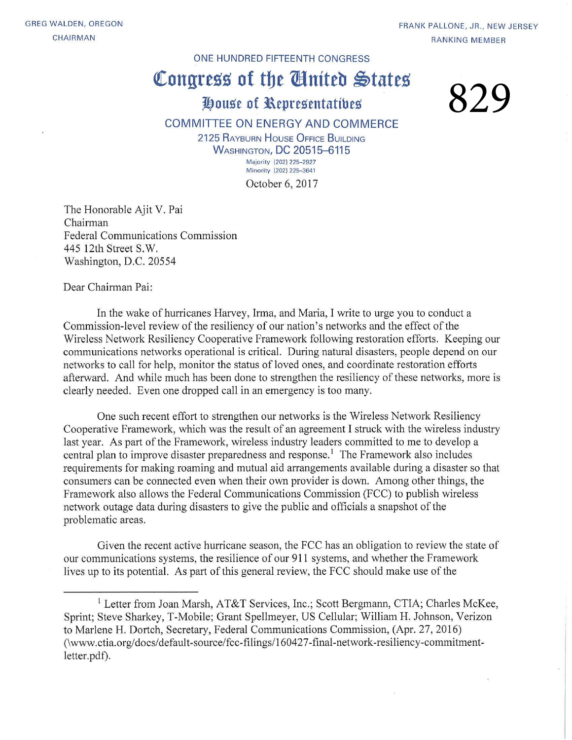#### ONE HUNDRED FIFTEENTH CONGRESS

## Congress of the *Congress*

### **J!}ouse of l\epresentatibes**

# 829

#### COMMITTEE ON ENERGY AND COMMERCE

2125 RAYBURN HOUSE OFFICE BUILDING **WASHINGTON, DC 20515-6115** Majority (202) 225-2927 Minority (202) 225-3641

October 6, 2017

The Honorable Ajit V. Pai Chairman Federal Communications Commission 445 12th Street S.W. Washington, D.C. 20554

Dear Chairman Pai:

In the wake of hurricanes Harvey, Irma, and Maria, I write to urge you to conduct a Commission-level review of the resiliency of our nation's networks and the effect of the Wireless Network Resiliency Cooperative Framework following restoration efforts. Keeping our communications networks operational is critical. During natural disasters, people depend on our networks to call for help, monitor the status of loved ones, and coordinate restoration efforts afterward. And while much has been done to strengthen the resiliency of these networks, more is clearly needed. Even one dropped call in an emergency is too many.

One such recent effort to strengthen our networks is the Wireless Network Resiliency Cooperative Framework, which was the result of an agreement I struck with the wireless industry last year. As part of the Framework, wireless industry leaders committed to me to develop a central plan to improve disaster preparedness and response.<sup>1</sup> The Framework also includes requirements for making roaming and mutual aid arrangements available during a disaster so that consumers can be connected even when their own provider is down. Among other things, the Framework also allows the Federal Communications Commission (FCC) to publish wireless network outage data during disasters to give the public and officials a snapshot of the problematic areas.

Given the recent active hurricane season, the FCC has an obligation to review the state of our communications systems, the resilience of our 911 systems, and whether the Framework lives up to its potential. As part of this general review, the FCC should make use of the

<sup>&</sup>lt;sup>1</sup> Letter from Joan Marsh, AT&T Services, Inc.; Scott Bergmann, CTIA; Charles McKee, Sprint; Steve Sharkey, T-Mobile; Grant Spellmeyer, US Cellular; William H. Johnson, Verizon to Marlene H. Dortch, Secretary, Federal Communications Commission, (Apr. 27, 2016) (\www.ctia.org/docs/default-source/fcc-filings/160427-final-network-resiliency-commitmentletter.pdf).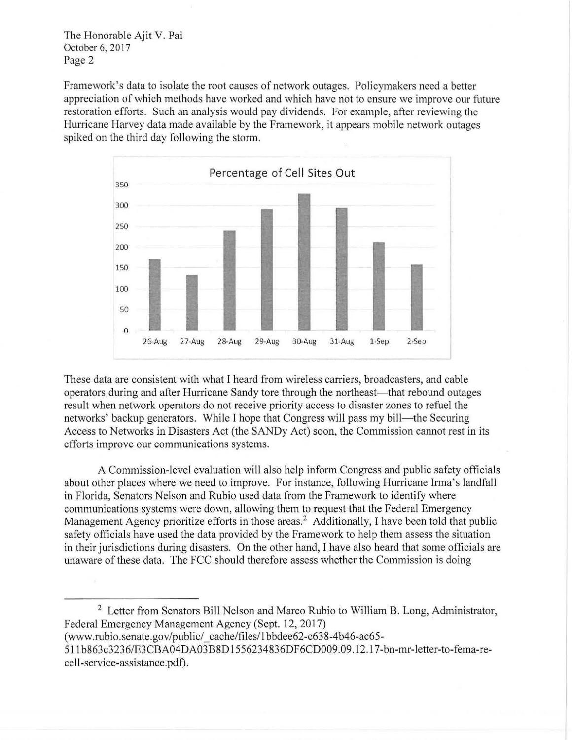The Honorable Ajit V. Pai October 6, 2017 Page 2

Framework's data to isolate the root causes of network outages. Policymakers need a better appreciation of which methods have worked and which have not to ensure we improve our future restoration efforts. Such an analysis would pay dividends. For example, after reviewing the Hurricane Harvey data made available by the Framework, it appears mobile network outages spiked on the third day following the storm.



These data are consistent with what I heard from wireless carriers, broadcasters, and cable operators during and after Hurricane Sandy tore through the northeast—that rebound outages result when network operators do not receive priority access to disaster zones to refuel the networks' backup generators. While I hope that Congress will pass my bill—the Securing Access to Networks in Disasters Act (the SANDy Act) soon, the Commission cannot rest in its efforts improve our communications systems.

A Commission-level evaluation will also help inform Congress and public safety officials about other places where we need to improve. For instance, following Hurricane Irma's landfall in Florida, Senators Nelson and Rubio used data from the Framework to identify where communications systems were down, allowing them to request that the Federal Emergency Management Agency prioritize efforts in those areas.<sup>2</sup> Additionally, I have been told that public safety officials have used the data provided by the Framework to help them assess the situation in their jurisdictions during disasters. On the other hand, I have also heard that some officials are unaware of these data. The FCC should therefore assess whether the Commission is doing

2 Letter from Senators Bill Nelson and Marco Rubio to William B. Long, Administrator, Federal Emergency Management Agency (Sept. 12, 2017)

(www.rubio.senate.gov/public/ \_ cache/files/1 bbdee62-c638-4b46-ac65-

511b863c3236/E3CBA04DA03B8Dl556234836DF6CD009.09.12.17-bn-mr-letter-to-fema-recell-service-assistance. pdf).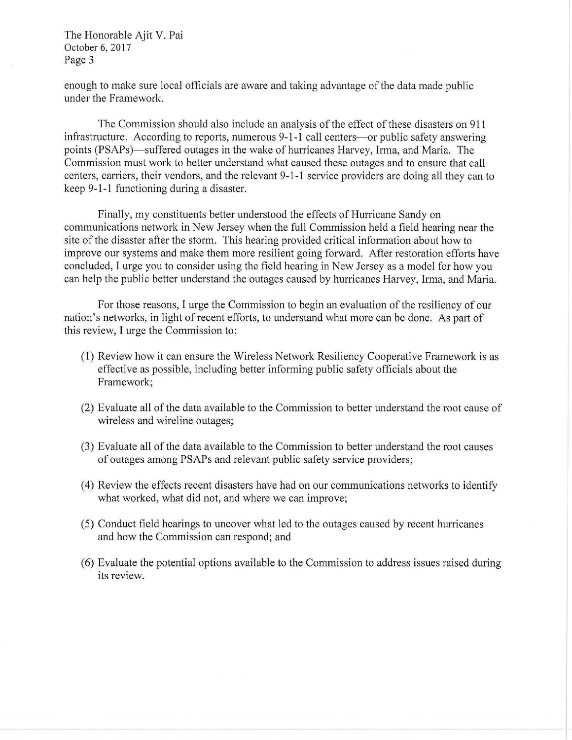The Honorable Ajit V. Pai October 6, 2017 Page 3

enough to make sure local officials are aware and taking advantage of the data made public under the Framework.

The Commission should also include an analysis of the effect of these disasters on 911 infrastructure. According to reports, numerous 9-1-1 call centers—or public safety answering points (PSAPs)—suffered outages in the wake of hurricanes Harvey, Irma, and Maria. The Commission must work to better understand what caused these outages and to ensure that call centers, carriers, their vendors, and the relevant 9-1-1 service providers are doing all they can to keep 9-1-1 functioning during a disaster.

Finally, my constituents better understood the effects of Hurricane Sandy on communications network in New Jersey when the full Commission held a field hearing near the site of the disaster after the storm. This hearing provided critical information about how to improve our systems and make them more resilient going forward. After restoration efforts have concluded, I urge you to consider using the field hearing in New Jersey as a model for how you can help the public better understand the outages caused by hurricanes Harvey, Irma, and Maria.

For those reasons, I urge the Commission to begin an evaluation of the resiliency of our nation's networks, in light of recent efforts, to understand what more can be done. As part of this review, I urge the Commission to:

- (1) Review how it can ensure the Wireless Network Resiliency Cooperative Framework is as effective as possible, including better informing public safety officials about the Framework;
- (2) Evaluate all of the data available to the Commission to better understand the root cause of wireless and wireline outages;
- (3) Evaluate all of the data available to the Commission to better understand the root causes of outages among PSAPs and relevant public safety service providers;
- ( 4) Review the effects recent disasters have had on our communications networks to identify what worked, what did not, and where we can improve;
- (5) Conduct field hearings to uncover what led to the outages caused by recent hunicanes and how the Commission can respond; and
- (6) Evaluate the potential options available to the Commission to address issues raised during its review.